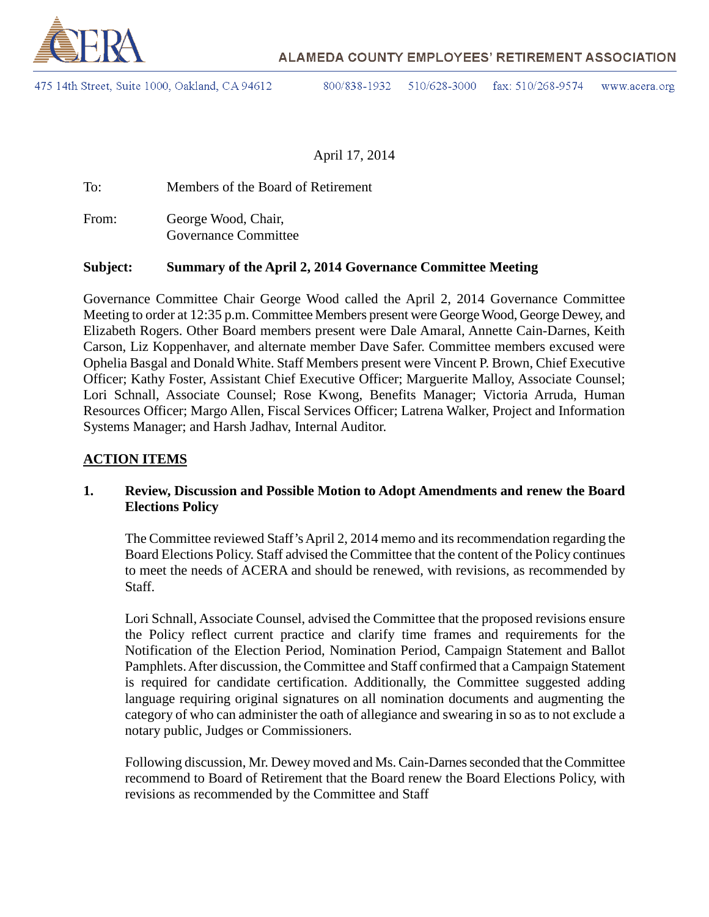

475 14th Street, Suite 1000, Oakland, CA 94612

800/838-1932 510/628-3000 fax: 510/268-9574 www.acera.org

April 17, 2014

To: Members of the Board of Retirement

From: George Wood, Chair, Governance Committee

### **Subject: Summary of the April 2, 2014 Governance Committee Meeting**

Governance Committee Chair George Wood called the April 2, 2014 Governance Committee Meeting to order at 12:35 p.m. Committee Members present were George Wood, George Dewey, and Elizabeth Rogers. Other Board members present were Dale Amaral, Annette Cain-Darnes, Keith Carson, Liz Koppenhaver, and alternate member Dave Safer. Committee members excused were Ophelia Basgal and Donald White. Staff Members present were Vincent P. Brown, Chief Executive Officer; Kathy Foster, Assistant Chief Executive Officer; Marguerite Malloy, Associate Counsel; Lori Schnall, Associate Counsel; Rose Kwong, Benefits Manager; Victoria Arruda, Human Resources Officer; Margo Allen, Fiscal Services Officer; Latrena Walker, Project and Information Systems Manager; and Harsh Jadhav, Internal Auditor.

#### **ACTION ITEMS**

### **1. Review, Discussion and Possible Motion to Adopt Amendments and renew the Board Elections Policy**

The Committee reviewed Staff's April 2, 2014 memo and its recommendation regarding the Board Elections Policy. Staff advised the Committee that the content of the Policy continues to meet the needs of ACERA and should be renewed, with revisions, as recommended by Staff.

Lori Schnall, Associate Counsel, advised the Committee that the proposed revisions ensure the Policy reflect current practice and clarify time frames and requirements for the Notification of the Election Period, Nomination Period, Campaign Statement and Ballot Pamphlets.After discussion, the Committee and Staff confirmed that a Campaign Statement is required for candidate certification. Additionally, the Committee suggested adding language requiring original signatures on all nomination documents and augmenting the category of who can administer the oath of allegiance and swearing in so as to not exclude a notary public, Judges or Commissioners.

Following discussion, Mr. Dewey moved and Ms. Cain-Darnesseconded that the Committee recommend to Board of Retirement that the Board renew the Board Elections Policy, with revisions as recommended by the Committee and Staff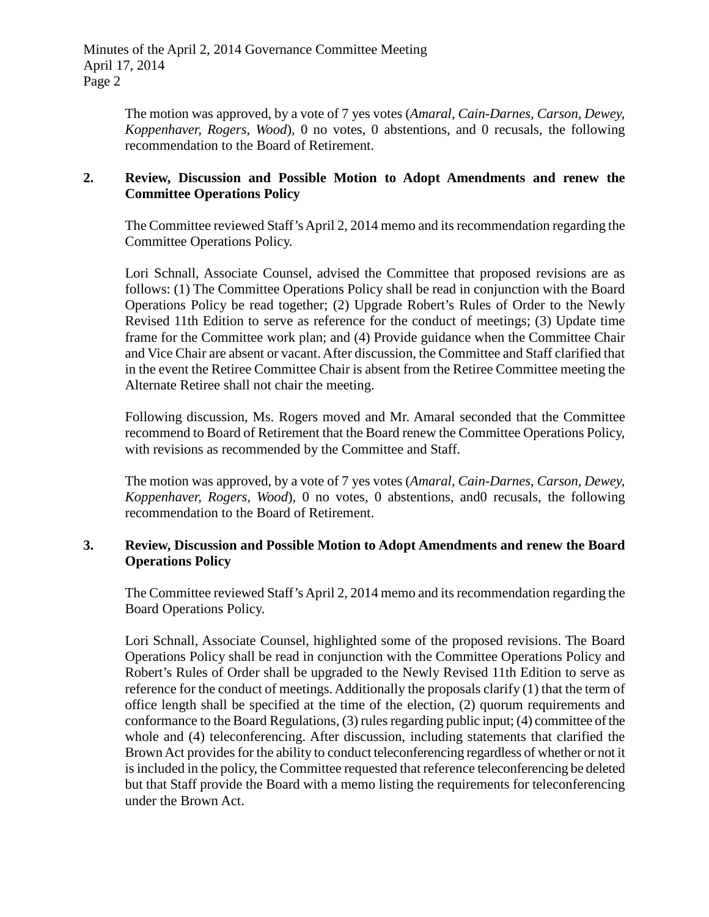The motion was approved, by a vote of 7 yes votes (*Amaral, Cain-Darnes, Carson, Dewey, Koppenhaver, Rogers, Wood*), 0 no votes, 0 abstentions, and 0 recusals, the following recommendation to the Board of Retirement.

### **2. Review, Discussion and Possible Motion to Adopt Amendments and renew the Committee Operations Policy**

The Committee reviewed Staff's April 2, 2014 memo and its recommendation regarding the Committee Operations Policy.

Lori Schnall, Associate Counsel, advised the Committee that proposed revisions are as follows: (1) The Committee Operations Policy shall be read in conjunction with the Board Operations Policy be read together; (2) Upgrade Robert's Rules of Order to the Newly Revised 11th Edition to serve as reference for the conduct of meetings; (3) Update time frame for the Committee work plan; and (4) Provide guidance when the Committee Chair and Vice Chair are absent or vacant.After discussion, the Committee and Staff clarified that in the event the Retiree Committee Chair is absent from the Retiree Committee meeting the Alternate Retiree shall not chair the meeting.

Following discussion, Ms. Rogers moved and Mr. Amaral seconded that the Committee recommend to Board of Retirement that the Board renew the Committee Operations Policy, with revisions as recommended by the Committee and Staff.

The motion was approved, by a vote of 7 yes votes (*Amaral, Cain-Darnes, Carson, Dewey, Koppenhaver, Rogers, Wood*), 0 no votes, 0 abstentions, and0 recusals, the following recommendation to the Board of Retirement.

## **3. Review, Discussion and Possible Motion to Adopt Amendments and renew the Board Operations Policy**

The Committee reviewed Staff's April 2, 2014 memo and its recommendation regarding the Board Operations Policy.

Lori Schnall, Associate Counsel, highlighted some of the proposed revisions. The Board Operations Policy shall be read in conjunction with the Committee Operations Policy and Robert's Rules of Order shall be upgraded to the Newly Revised 11th Edition to serve as reference for the conduct of meetings. Additionally the proposals clarify (1) that the term of office length shall be specified at the time of the election, (2) quorum requirements and conformance to the Board Regulations, (3) rules regarding public input; (4) committee of the whole and (4) teleconferencing. After discussion, including statements that clarified the Brown Act provides for the ability to conduct teleconferencing regardless of whether or not it is included in the policy, the Committee requested that reference teleconferencing be deleted but that Staff provide the Board with a memo listing the requirements for teleconferencing under the Brown Act.